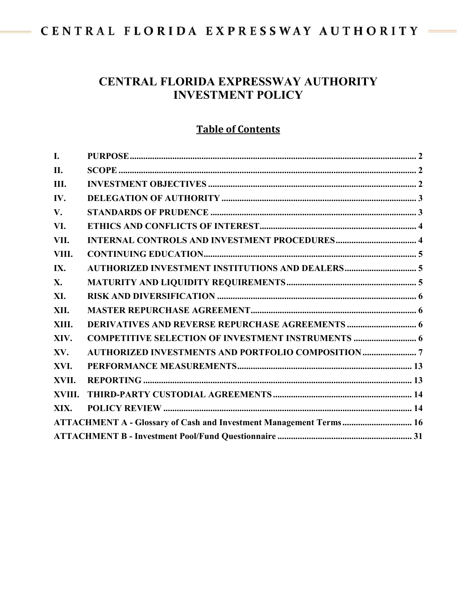# CENTRAL FLORIDA EXPRESSWAY AUTHORITY -

 $\frac{1}{2} \left( \frac{1}{2} \right)^2 \left( \frac{1}{2} \right)^2 \left( \frac{1}{2} \right)^2$ 

# **CENTRAL FLORIDA EXPRESSWAY AUTHORITY INVESTMENT POLICY**

# **Table of Contents**

| I.     |                                                                    |  |
|--------|--------------------------------------------------------------------|--|
| II.    |                                                                    |  |
| Ш.     |                                                                    |  |
| IV.    |                                                                    |  |
| V.     |                                                                    |  |
| VI.    |                                                                    |  |
| VII.   |                                                                    |  |
| VIII.  |                                                                    |  |
| IX.    |                                                                    |  |
| X.     |                                                                    |  |
| XI.    |                                                                    |  |
| XII.   |                                                                    |  |
| XIII.  | <b>DERIVATIVES AND REVERSE REPURCHASE AGREEMENTS </b> 6            |  |
| XIV.   | <b>COMPETITIVE SELECTION OF INVESTMENT INSTRUMENTS  6</b>          |  |
| XV.    |                                                                    |  |
| XVI.   |                                                                    |  |
| XVII.  |                                                                    |  |
| XVIII. |                                                                    |  |
| XIX.   |                                                                    |  |
|        | ATTACHMENT A - Glossary of Cash and Investment Management Terms 16 |  |
|        |                                                                    |  |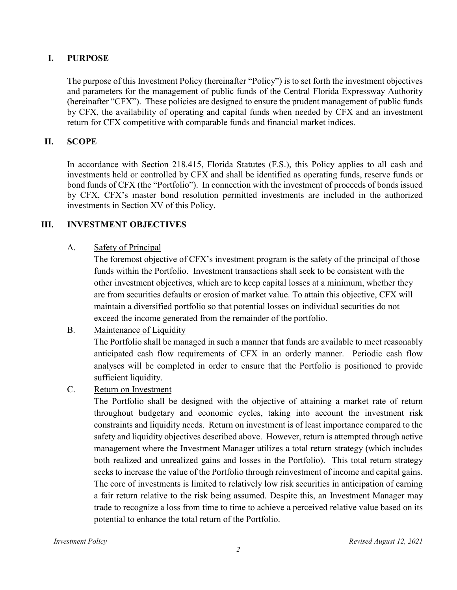### <span id="page-1-0"></span>**I. PURPOSE**

The purpose of this Investment Policy (hereinafter "Policy") is to set forth the investment objectives and parameters for the management of public funds of the Central Florida Expressway Authority (hereinafter "CFX"). These policies are designed to ensure the prudent management of public funds by CFX, the availability of operating and capital funds when needed by CFX and an investment return for CFX competitive with comparable funds and financial market indices.

#### <span id="page-1-1"></span>**II. SCOPE**

In accordance with Section 218.415, Florida Statutes (F.S.), this Policy applies to all cash and investments held or controlled by CFX and shall be identified as operating funds, reserve funds or bond funds of CFX (the "Portfolio"). In connection with the investment of proceeds of bonds issued by CFX, CFX's master bond resolution permitted investments are included in the authorized investments in Section XV of this Policy.

#### <span id="page-1-2"></span>**III. INVESTMENT OBJECTIVES**

A. Safety of Principal

The foremost objective of CFX's investment program is the safety of the principal of those funds within the Portfolio. Investment transactions shall seek to be consistent with the other investment objectives, which are to keep capital losses at a minimum, whether they are from securities defaults or erosion of market value. To attain this objective, CFX will maintain a diversified portfolio so that potential losses on individual securities do not exceed the income generated from the remainder of the portfolio.

B. Maintenance of Liquidity

The Portfolio shall be managed in such a manner that funds are available to meet reasonably anticipated cash flow requirements of CFX in an orderly manner. Periodic cash flow analyses will be completed in order to ensure that the Portfolio is positioned to provide sufficient liquidity.

C. Return on Investment

The Portfolio shall be designed with the objective of attaining a market rate of return throughout budgetary and economic cycles, taking into account the investment risk constraints and liquidity needs. Return on investment is of least importance compared to the safety and liquidity objectives described above. However, return is attempted through active management where the Investment Manager utilizes a total return strategy (which includes both realized and unrealized gains and losses in the Portfolio). This total return strategy seeks to increase the value of the Portfolio through reinvestment of income and capital gains. The core of investments is limited to relatively low risk securities in anticipation of earning a fair return relative to the risk being assumed. Despite this, an Investment Manager may trade to recognize a loss from time to time to achieve a perceived relative value based on its potential to enhance the total return of the Portfolio.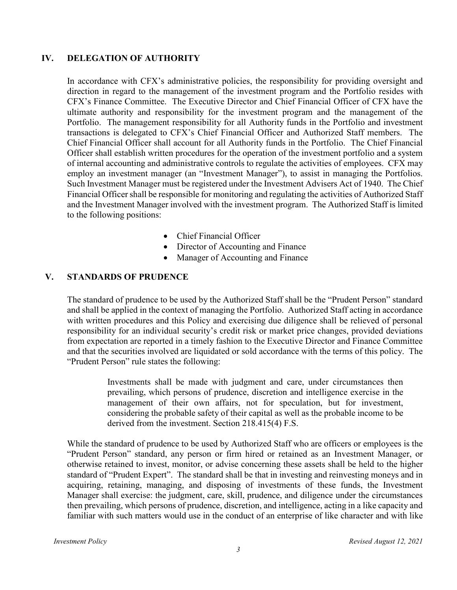#### <span id="page-2-0"></span>**IV. DELEGATION OF AUTHORITY**

In accordance with CFX's administrative policies, the responsibility for providing oversight and direction in regard to the management of the investment program and the Portfolio resides with CFX's Finance Committee. The Executive Director and Chief Financial Officer of CFX have the ultimate authority and responsibility for the investment program and the management of the Portfolio. The management responsibility for all Authority funds in the Portfolio and investment transactions is delegated to CFX's Chief Financial Officer and Authorized Staff members. The Chief Financial Officer shall account for all Authority funds in the Portfolio. The Chief Financial Officer shall establish written procedures for the operation of the investment portfolio and a system of internal accounting and administrative controls to regulate the activities of employees. CFX may employ an investment manager (an "Investment Manager"), to assist in managing the Portfolios. Such Investment Manager must be registered under the Investment Advisers Act of 1940. The Chief Financial Officer shall be responsible for monitoring and regulating the activities of Authorized Staff and the Investment Manager involved with the investment program. The Authorized Staff is limited to the following positions:

- Chief Financial Officer
- Director of Accounting and Finance
- Manager of Accounting and Finance

### <span id="page-2-1"></span>**V. STANDARDS OF PRUDENCE**

The standard of prudence to be used by the Authorized Staff shall be the "Prudent Person" standard and shall be applied in the context of managing the Portfolio. Authorized Staff acting in accordance with written procedures and this Policy and exercising due diligence shall be relieved of personal responsibility for an individual security's credit risk or market price changes, provided deviations from expectation are reported in a timely fashion to the Executive Director and Finance Committee and that the securities involved are liquidated or sold accordance with the terms of this policy. The "Prudent Person" rule states the following:

> Investments shall be made with judgment and care, under circumstances then prevailing, which persons of prudence, discretion and intelligence exercise in the management of their own affairs, not for speculation, but for investment, considering the probable safety of their capital as well as the probable income to be derived from the investment. Section 218.415(4) F.S.

While the standard of prudence to be used by Authorized Staff who are officers or employees is the "Prudent Person" standard, any person or firm hired or retained as an Investment Manager, or otherwise retained to invest, monitor, or advise concerning these assets shall be held to the higher standard of "Prudent Expert". The standard shall be that in investing and reinvesting moneys and in acquiring, retaining, managing, and disposing of investments of these funds, the Investment Manager shall exercise: the judgment, care, skill, prudence, and diligence under the circumstances then prevailing, which persons of prudence, discretion, and intelligence, acting in a like capacity and familiar with such matters would use in the conduct of an enterprise of like character and with like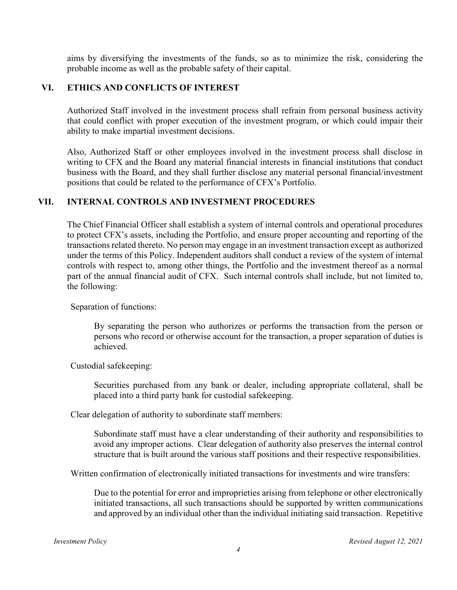aims by diversifying the investments of the funds, so as to minimize the risk, considering the probable income as well as the probable safety of their capital.

### <span id="page-3-0"></span>**VI. ETHICS AND CONFLICTS OF INTEREST**

Authorized Staff involved in the investment process shall refrain from personal business activity that could conflict with proper execution of the investment program, or which could impair their ability to make impartial investment decisions.

Also, Authorized Staff or other employees involved in the investment process shall disclose in writing to CFX and the Board any material financial interests in financial institutions that conduct business with the Board, and they shall further disclose any material personal financial/investment positions that could be related to the performance of CFX's Portfolio.

#### <span id="page-3-1"></span>**VII. INTERNAL CONTROLS AND INVESTMENT PROCEDURES**

The Chief Financial Officer shall establish a system of internal controls and operational procedures to protect CFX's assets, including the Portfolio, and ensure proper accounting and reporting of the transactions related thereto. No person may engage in an investment transaction except as authorized under the terms of this Policy. Independent auditors shall conduct a review of the system of internal controls with respect to, among other things, the Portfolio and the investment thereof as a normal part of the annual financial audit of CFX. Such internal controls shall include, but not limited to, the following:

Separation of functions:

By separating the person who authorizes or performs the transaction from the person or persons who record or otherwise account for the transaction, a proper separation of duties is achieved.

Custodial safekeeping:

Securities purchased from any bank or dealer, including appropriate collateral, shall be placed into a third party bank for custodial safekeeping.

Clear delegation of authority to subordinate staff members:

Subordinate staff must have a clear understanding of their authority and responsibilities to avoid any improper actions. Clear delegation of authority also preserves the internal control structure that is built around the various staff positions and their respective responsibilities.

Written confirmation of electronically initiated transactions for investments and wire transfers:

Due to the potential for error and improprieties arising from telephone or other electronically initiated transactions, all such transactions should be supported by written communications and approved by an individual other than the individual initiating said transaction. Repetitive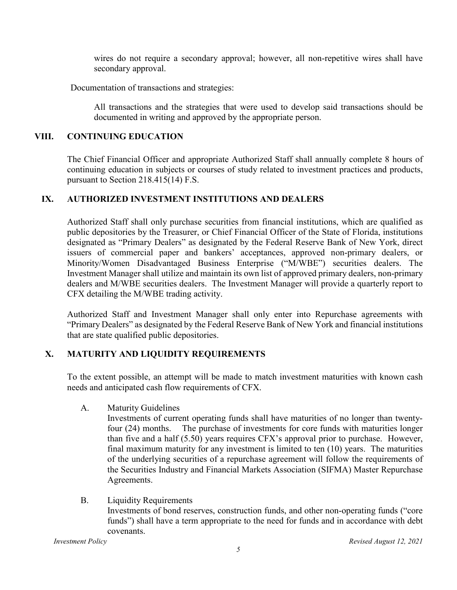wires do not require a secondary approval; however, all non-repetitive wires shall have secondary approval.

Documentation of transactions and strategies:

All transactions and the strategies that were used to develop said transactions should be documented in writing and approved by the appropriate person.

## <span id="page-4-0"></span>**VIII. CONTINUING EDUCATION**

The Chief Financial Officer and appropriate Authorized Staff shall annually complete 8 hours of continuing education in subjects or courses of study related to investment practices and products, pursuant to Section 218.415(14) F.S.

## <span id="page-4-1"></span>**IX. AUTHORIZED INVESTMENT INSTITUTIONS AND DEALERS**

Authorized Staff shall only purchase securities from financial institutions, which are qualified as public depositories by the Treasurer, or Chief Financial Officer of the State of Florida, institutions designated as "Primary Dealers" as designated by the Federal Reserve Bank of New York, direct issuers of commercial paper and bankers' acceptances, approved non-primary dealers, or Minority/Women Disadvantaged Business Enterprise ("M/WBE") securities dealers. The Investment Manager shall utilize and maintain its own list of approved primary dealers, non-primary dealers and M/WBE securities dealers. The Investment Manager will provide a quarterly report to CFX detailing the M/WBE trading activity.

Authorized Staff and Investment Manager shall only enter into Repurchase agreements with "Primary Dealers" as designated by the Federal Reserve Bank of New York and financial institutions that are state qualified public depositories.

## <span id="page-4-2"></span>**X. MATURITY AND LIQUIDITY REQUIREMENTS**

To the extent possible, an attempt will be made to match investment maturities with known cash needs and anticipated cash flow requirements of CFX.

A. Maturity Guidelines

Investments of current operating funds shall have maturities of no longer than twentyfour (24) months. The purchase of investments for core funds with maturities longer than five and a half (5.50) years requires CFX's approval prior to purchase. However, final maximum maturity for any investment is limited to ten (10) years. The maturities of the underlying securities of a repurchase agreement will follow the requirements of the Securities Industry and Financial Markets Association (SIFMA) Master Repurchase Agreements.

B. Liquidity Requirements Investments of bond reserves, construction funds, and other non-operating funds ("core funds") shall have a term appropriate to the need for funds and in accordance with debt covenants.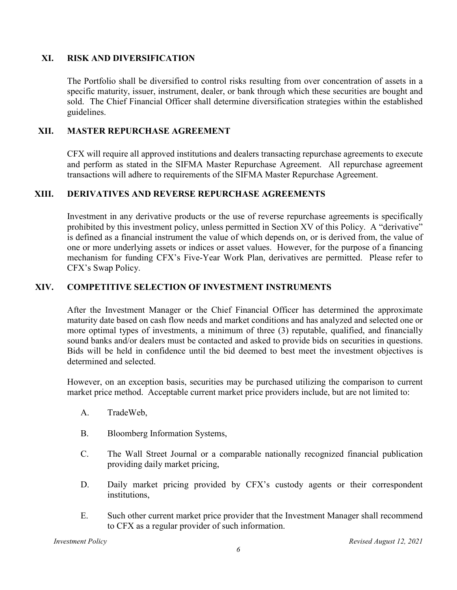#### <span id="page-5-0"></span>**XI. RISK AND DIVERSIFICATION**

The Portfolio shall be diversified to control risks resulting from over concentration of assets in a specific maturity, issuer, instrument, dealer, or bank through which these securities are bought and sold. The Chief Financial Officer shall determine diversification strategies within the established guidelines.

## <span id="page-5-1"></span>**XII. MASTER REPURCHASE AGREEMENT**

CFX will require all approved institutions and dealers transacting repurchase agreements to execute and perform as stated in the SIFMA Master Repurchase Agreement. All repurchase agreement transactions will adhere to requirements of the SIFMA Master Repurchase Agreement.

### <span id="page-5-2"></span>**XIII. DERIVATIVES AND REVERSE REPURCHASE AGREEMENTS**

Investment in any derivative products or the use of reverse repurchase agreements is specifically prohibited by this investment policy, unless permitted in Section XV of this Policy. A "derivative" is defined as a financial instrument the value of which depends on, or is derived from, the value of one or more underlying assets or indices or asset values. However, for the purpose of a financing mechanism for funding CFX's Five-Year Work Plan, derivatives are permitted. Please refer to CFX's Swap Policy.

## <span id="page-5-3"></span>**XIV. COMPETITIVE SELECTION OF INVESTMENT INSTRUMENTS**

After the Investment Manager or the Chief Financial Officer has determined the approximate maturity date based on cash flow needs and market conditions and has analyzed and selected one or more optimal types of investments, a minimum of three (3) reputable, qualified, and financially sound banks and/or dealers must be contacted and asked to provide bids on securities in questions. Bids will be held in confidence until the bid deemed to best meet the investment objectives is determined and selected.

However, on an exception basis, securities may be purchased utilizing the comparison to current market price method. Acceptable current market price providers include, but are not limited to:

- A. TradeWeb,
- B. Bloomberg Information Systems,
- C. The Wall Street Journal or a comparable nationally recognized financial publication providing daily market pricing,
- D. Daily market pricing provided by CFX's custody agents or their correspondent institutions,
- E. Such other current market price provider that the Investment Manager shall recommend to CFX as a regular provider of such information.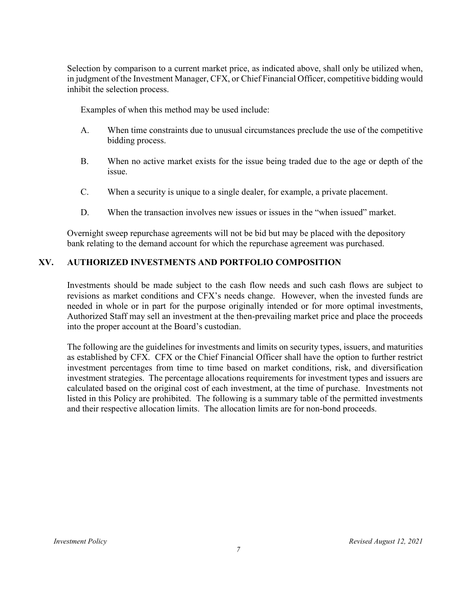Selection by comparison to a current market price, as indicated above, shall only be utilized when, in judgment of the Investment Manager, CFX, or Chief Financial Officer, competitive bidding would inhibit the selection process.

Examples of when this method may be used include:

- A. When time constraints due to unusual circumstances preclude the use of the competitive bidding process.
- B. When no active market exists for the issue being traded due to the age or depth of the issue.
- C. When a security is unique to a single dealer, for example, a private placement.
- D. When the transaction involves new issues or issues in the "when issued" market.

Overnight sweep repurchase agreements will not be bid but may be placed with the depository bank relating to the demand account for which the repurchase agreement was purchased.

## <span id="page-6-0"></span>**XV. AUTHORIZED INVESTMENTS AND PORTFOLIO COMPOSITION**

Investments should be made subject to the cash flow needs and such cash flows are subject to revisions as market conditions and CFX's needs change. However, when the invested funds are needed in whole or in part for the purpose originally intended or for more optimal investments, Authorized Staff may sell an investment at the then-prevailing market price and place the proceeds into the proper account at the Board's custodian.

The following are the guidelines for investments and limits on security types, issuers, and maturities as established by CFX. CFX or the Chief Financial Officer shall have the option to further restrict investment percentages from time to time based on market conditions, risk, and diversification investment strategies. The percentage allocations requirements for investment types and issuers are calculated based on the original cost of each investment, at the time of purchase. Investments not listed in this Policy are prohibited. The following is a summary table of the permitted investments and their respective allocation limits. The allocation limits are for non-bond proceeds.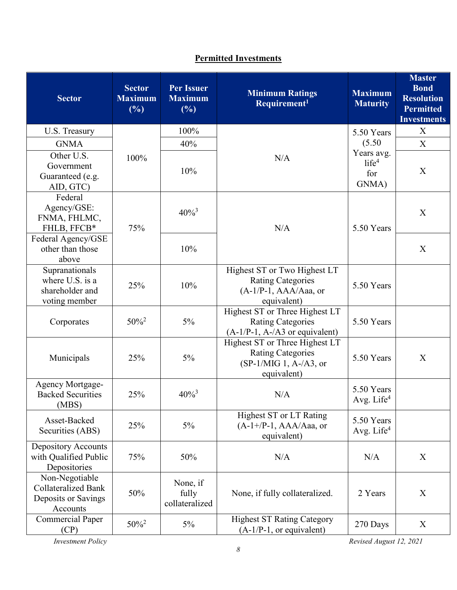# **Permitted Investments**

| <b>Sector</b>                                                                   | <b>Sector</b><br><b>Maximum</b><br>(%) | <b>Per Issuer</b><br><b>Maximum</b><br>(%) | <b>Minimum Ratings</b><br>Requirement <sup>1</sup>                                                   | <b>Maximum</b><br><b>Maturity</b>                         | <b>Master</b><br><b>Bond</b><br><b>Resolution</b><br><b>Permitted</b><br><b>Investments</b> |
|---------------------------------------------------------------------------------|----------------------------------------|--------------------------------------------|------------------------------------------------------------------------------------------------------|-----------------------------------------------------------|---------------------------------------------------------------------------------------------|
| U.S. Treasury                                                                   |                                        | 100%                                       |                                                                                                      | 5.50 Years                                                | X                                                                                           |
| <b>GNMA</b>                                                                     | 100%                                   | 40%                                        |                                                                                                      | (5.50)<br>Years avg.<br>life <sup>4</sup><br>for<br>GNMA) | X                                                                                           |
| Other U.S.<br>Government<br>Guaranteed (e.g.<br>AID, GTC)                       |                                        | 10%                                        | N/A                                                                                                  |                                                           | X                                                                                           |
| Federal<br>Agency/GSE:<br>FNMA, FHLMC,<br>FHLB, FFCB*                           | 75%                                    | $40\%^{3}$                                 | N/A                                                                                                  | 5.50 Years                                                | X                                                                                           |
| Federal Agency/GSE<br>other than those<br>above                                 |                                        | 10%                                        |                                                                                                      |                                                           | $\boldsymbol{\mathrm{X}}$                                                                   |
| Supranationals<br>where U.S. is a<br>shareholder and<br>voting member           | 25%                                    | 10%                                        | Highest ST or Two Highest LT<br><b>Rating Categories</b><br>$(A-1/P-1, AAA/Aaa, or$<br>equivalent)   | 5.50 Years                                                |                                                                                             |
| Corporates                                                                      | $50\%^{2}$                             | $5\%$                                      | Highest ST or Three Highest LT<br><b>Rating Categories</b><br>$(A-1/P-1, A-/A3$ or equivalent)       | 5.50 Years                                                |                                                                                             |
| Municipals                                                                      | 25%                                    | 5%                                         | Highest ST or Three Highest LT<br><b>Rating Categories</b><br>$(SP-1/MIG 1, A-A3, or$<br>equivalent) | 5.50 Years                                                | X                                                                                           |
| Agency Mortgage-<br><b>Backed Securities</b><br>(MBS)                           | 25%                                    | $40\%$ <sup>3</sup>                        | N/A                                                                                                  | 5.50 Years<br>Avg. Life <sup>4</sup>                      |                                                                                             |
| Asset-Backed<br>Securities (ABS)                                                | 25%                                    | 5%                                         | Highest ST or LT Rating<br>$(A-1+/P-1, AAA/Aaa, or$<br>equivalent)                                   | 5.50 Years<br>Avg. Life $4$                               |                                                                                             |
| Depository Accounts<br>with Qualified Public<br>Depositories                    | 75%                                    | 50%                                        | N/A                                                                                                  | N/A                                                       | X                                                                                           |
| Non-Negotiable<br><b>Collateralized Bank</b><br>Deposits or Savings<br>Accounts | 50%                                    | None, if<br>fully<br>collateralized        | None, if fully collateralized.                                                                       | 2 Years                                                   | X                                                                                           |
| <b>Commercial Paper</b><br>(CP)                                                 | $50\%^2$                               | $5\%$                                      | <b>Highest ST Rating Category</b><br>$(A-1/P-1)$ , or equivalent)                                    | 270 Days                                                  | X                                                                                           |

*Investment Policy Revised August 12, 2021*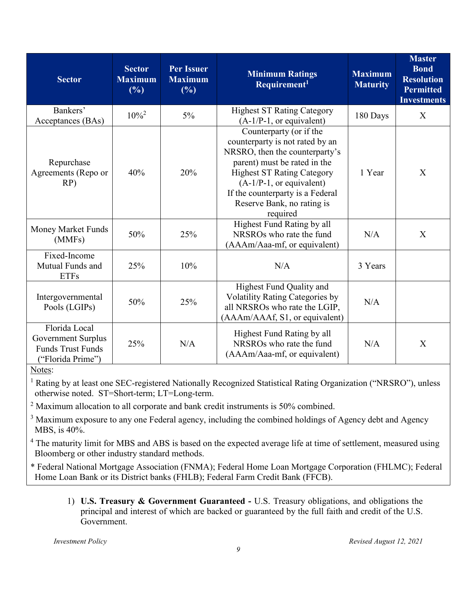| <b>Sector</b>                                                                        | <b>Sector</b><br><b>Maximum</b><br>(%) | <b>Per Issuer</b><br><b>Maximum</b><br>(%) | <b>Minimum Ratings</b><br>Requirement <sup>1</sup>                                                                                                                                                                                                                            | <b>Maximum</b><br><b>Maturity</b> | <b>Master</b><br><b>Bond</b><br><b>Resolution</b><br><b>Permitted</b><br><b>Investments</b> |
|--------------------------------------------------------------------------------------|----------------------------------------|--------------------------------------------|-------------------------------------------------------------------------------------------------------------------------------------------------------------------------------------------------------------------------------------------------------------------------------|-----------------------------------|---------------------------------------------------------------------------------------------|
| Bankers'<br>Acceptances (BAs)                                                        | $10\%^2$                               | $5\%$                                      | <b>Highest ST Rating Category</b><br>$(A-1/P-1)$ , or equivalent)                                                                                                                                                                                                             | 180 Days                          | X                                                                                           |
| Repurchase<br>Agreements (Repo or<br>RP)                                             | 40%                                    | 20%                                        | Counterparty (or if the<br>counterparty is not rated by an<br>NRSRO, then the counterparty's<br>parent) must be rated in the<br><b>Highest ST Rating Category</b><br>$(A-1/P-1,$ or equivalent)<br>If the counterparty is a Federal<br>Reserve Bank, no rating is<br>required | 1 Year                            | X                                                                                           |
| Money Market Funds<br>(MMFs)                                                         | 50%                                    | 25%                                        | Highest Fund Rating by all<br>NRSRO <sub>s</sub> who rate the fund<br>(AAAm/Aaa-mf, or equivalent)                                                                                                                                                                            | N/A                               | X                                                                                           |
| Fixed-Income<br>Mutual Funds and<br><b>ETFs</b>                                      | 25%                                    | 10%                                        | N/A                                                                                                                                                                                                                                                                           | 3 Years                           |                                                                                             |
| Intergovernmental<br>Pools (LGIPs)                                                   | 50%                                    | 25%                                        | Highest Fund Quality and<br><b>Volatility Rating Categories by</b><br>all NRSROs who rate the LGIP,<br>(AAAm/AAAf, S1, or equivalent)                                                                                                                                         | N/A                               |                                                                                             |
| Florida Local<br>Government Surplus<br><b>Funds Trust Funds</b><br>("Florida Prime") | 25%                                    | N/A                                        | Highest Fund Rating by all<br>NRSRO <sub>s</sub> who rate the fund<br>(AAAm/Aaa-mf, or equivalent)                                                                                                                                                                            | N/A                               | X                                                                                           |

Notes:

<sup>1</sup> Rating by at least one SEC-registered Nationally Recognized Statistical Rating Organization ("NRSRO"), unless otherwise noted. ST=Short-term; LT=Long-term.

 $2$  Maximum allocation to all corporate and bank credit instruments is 50% combined.

<sup>3</sup> Maximum exposure to any one Federal agency, including the combined holdings of Agency debt and Agency MBS, is 40%.

<sup>4</sup> The maturity limit for MBS and ABS is based on the expected average life at time of settlement, measured using Bloomberg or other industry standard methods.

\* Federal National Mortgage Association (FNMA); Federal Home Loan Mortgage Corporation (FHLMC); Federal Home Loan Bank or its District banks (FHLB); Federal Farm Credit Bank (FFCB).

1) **U.S. Treasury & Government Guaranteed -** U.S. Treasury obligations, and obligations the principal and interest of which are backed or guaranteed by the full faith and credit of the U.S. Government.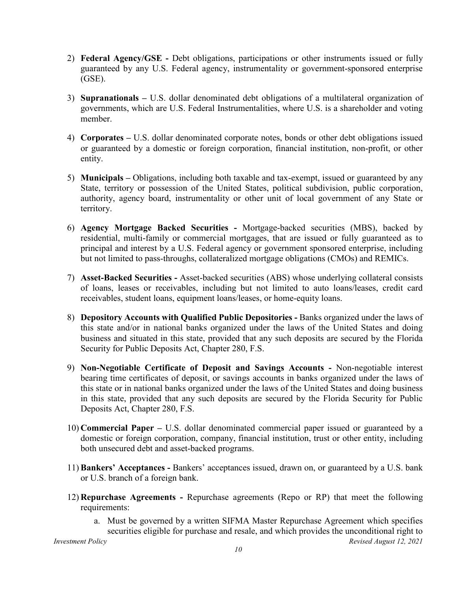- 2) **Federal Agency/GSE -** Debt obligations, participations or other instruments issued or fully guaranteed by any U.S. Federal agency, instrumentality or government-sponsored enterprise (GSE).
- 3) **Supranationals –** U.S. dollar denominated debt obligations of a multilateral organization of governments, which are U.S. Federal Instrumentalities, where U.S. is a shareholder and voting member.
- 4) **Corporates –** U.S. dollar denominated corporate notes, bonds or other debt obligations issued or guaranteed by a domestic or foreign corporation, financial institution, non-profit, or other entity.
- 5) **Municipals –** Obligations, including both taxable and tax-exempt, issued or guaranteed by any State, territory or possession of the United States, political subdivision, public corporation, authority, agency board, instrumentality or other unit of local government of any State or territory.
- 6) **Agency Mortgage Backed Securities -** Mortgage-backed securities (MBS), backed by residential, multi-family or commercial mortgages, that are issued or fully guaranteed as to principal and interest by a U.S. Federal agency or government sponsored enterprise, including but not limited to pass-throughs, collateralized mortgage obligations (CMOs) and REMICs.
- 7) **Asset-Backed Securities -** Asset-backed securities (ABS) whose underlying collateral consists of loans, leases or receivables, including but not limited to auto loans/leases, credit card receivables, student loans, equipment loans/leases, or home-equity loans.
- 8) **Depository Accounts with Qualified Public Depositories -** Banks organized under the laws of this state and/or in national banks organized under the laws of the United States and doing business and situated in this state, provided that any such deposits are secured by the Florida Security for Public Deposits Act, Chapter 280, F.S.
- 9) **Non-Negotiable Certificate of Deposit and Savings Accounts -** Non-negotiable interest bearing time certificates of deposit, or savings accounts in banks organized under the laws of this state or in national banks organized under the laws of the United States and doing business in this state, provided that any such deposits are secured by the Florida Security for Public Deposits Act, Chapter 280, F.S.
- 10) **Commercial Paper –** U.S. dollar denominated commercial paper issued or guaranteed by a domestic or foreign corporation, company, financial institution, trust or other entity, including both unsecured debt and asset-backed programs.
- 11) **Bankers' Acceptances -** Bankers' acceptances issued, drawn on, or guaranteed by a U.S. bank or U.S. branch of a foreign bank.
- 12) **Repurchase Agreements -** Repurchase agreements (Repo or RP) that meet the following requirements:
	- a. Must be governed by a written SIFMA Master Repurchase Agreement which specifies securities eligible for purchase and resale, and which provides the unconditional right to

*Investment Policy Revised August 12, 2021*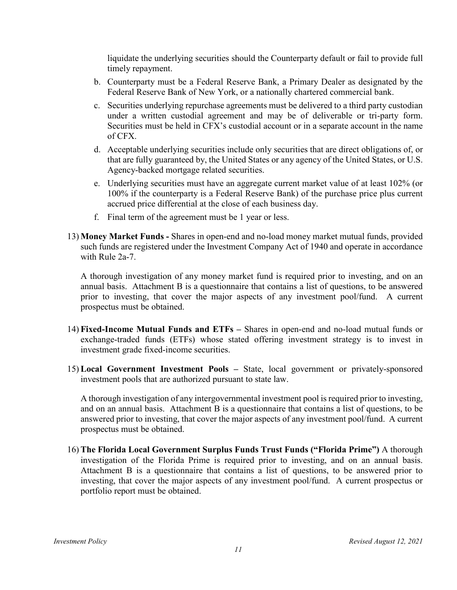liquidate the underlying securities should the Counterparty default or fail to provide full timely repayment.

- b. Counterparty must be a Federal Reserve Bank, a Primary Dealer as designated by the Federal Reserve Bank of New York, or a nationally chartered commercial bank.
- c. Securities underlying repurchase agreements must be delivered to a third party custodian under a written custodial agreement and may be of deliverable or tri-party form. Securities must be held in CFX's custodial account or in a separate account in the name of CFX.
- d. Acceptable underlying securities include only securities that are direct obligations of, or that are fully guaranteed by, the United States or any agency of the United States, or U.S. Agency-backed mortgage related securities.
- e. Underlying securities must have an aggregate current market value of at least 102% (or 100% if the counterparty is a Federal Reserve Bank) of the purchase price plus current accrued price differential at the close of each business day.
- f. Final term of the agreement must be 1 year or less.
- 13) **Money Market Funds -** Shares in open-end and no-load money market mutual funds, provided such funds are registered under the Investment Company Act of 1940 and operate in accordance with Rule 2a-7.

A thorough investigation of any money market fund is required prior to investing, and on an annual basis. Attachment B is a questionnaire that contains a list of questions, to be answered prior to investing, that cover the major aspects of any investment pool/fund. A current prospectus must be obtained.

- 14) **Fixed-Income Mutual Funds and ETFs –** Shares in open-end and no-load mutual funds or exchange-traded funds (ETFs) whose stated offering investment strategy is to invest in investment grade fixed-income securities.
- 15) **Local Government Investment Pools –** State, local government or privately-sponsored investment pools that are authorized pursuant to state law.

A thorough investigation of any intergovernmental investment pool is required prior to investing, and on an annual basis. Attachment B is a questionnaire that contains a list of questions, to be answered prior to investing, that cover the major aspects of any investment pool/fund. A current prospectus must be obtained.

16) **The Florida Local Government Surplus Funds Trust Funds ("Florida Prime")** A thorough investigation of the Florida Prime is required prior to investing, and on an annual basis. Attachment B is a questionnaire that contains a list of questions, to be answered prior to investing, that cover the major aspects of any investment pool/fund. A current prospectus or portfolio report must be obtained.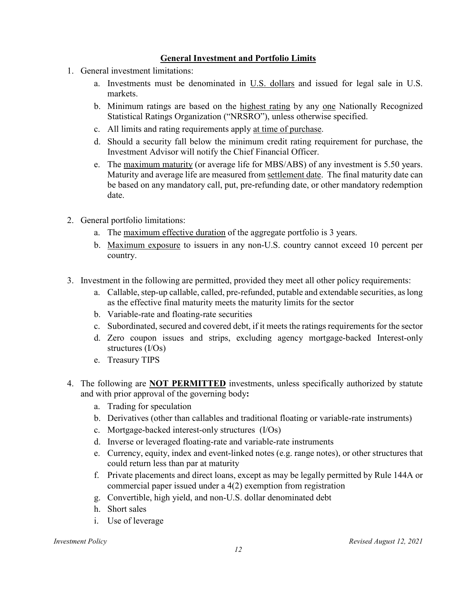## **General Investment and Portfolio Limits**

- 1. General investment limitations:
	- a. Investments must be denominated in U.S. dollars and issued for legal sale in U.S. markets.
	- b. Minimum ratings are based on the highest rating by any one Nationally Recognized Statistical Ratings Organization ("NRSRO"), unless otherwise specified.
	- c. All limits and rating requirements apply at time of purchase.
	- d. Should a security fall below the minimum credit rating requirement for purchase, the Investment Advisor will notify the Chief Financial Officer.
	- e. The maximum maturity (or average life for MBS/ABS) of any investment is 5.50 years. Maturity and average life are measured from settlement date. The final maturity date can be based on any mandatory call, put, pre-refunding date, or other mandatory redemption date.
- 2. General portfolio limitations:
	- a. The maximum effective duration of the aggregate portfolio is 3 years.
	- b. Maximum exposure to issuers in any non-U.S. country cannot exceed 10 percent per country.
- 3. Investment in the following are permitted, provided they meet all other policy requirements:
	- a. Callable, step-up callable, called, pre-refunded, putable and extendable securities, as long as the effective final maturity meets the maturity limits for the sector
	- b. Variable-rate and floating-rate securities
	- c. Subordinated, secured and covered debt, if it meets the ratings requirements for the sector
	- d. Zero coupon issues and strips, excluding agency mortgage-backed Interest-only structures (I/Os)
	- e. Treasury TIPS
- 4. The following are **NOT PERMITTED** investments, unless specifically authorized by statute and with prior approval of the governing body**:**
	- a. Trading for speculation
	- b. Derivatives (other than callables and traditional floating or variable-rate instruments)
	- c. Mortgage-backed interest-only structures (I/Os)
	- d. Inverse or leveraged floating-rate and variable-rate instruments
	- e. Currency, equity, index and event-linked notes (e.g. range notes), or other structures that could return less than par at maturity
	- f. Private placements and direct loans, except as may be legally permitted by Rule 144A or commercial paper issued under a 4(2) exemption from registration
	- g. Convertible, high yield, and non-U.S. dollar denominated debt
	- h. Short sales
	- i. Use of leverage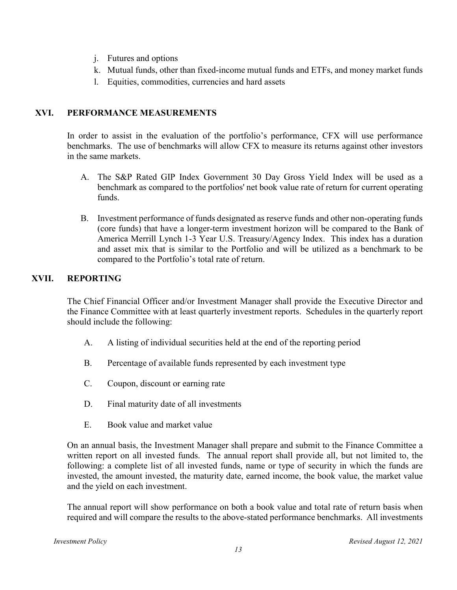- j. Futures and options
- k. Mutual funds, other than fixed-income mutual funds and ETFs, and money market funds
- l. Equities, commodities, currencies and hard assets

## <span id="page-12-0"></span>**XVI. PERFORMANCE MEASUREMENTS**

In order to assist in the evaluation of the portfolio's performance, CFX will use performance benchmarks. The use of benchmarks will allow CFX to measure its returns against other investors in the same markets.

- A. The S&P Rated GIP Index Government 30 Day Gross Yield Index will be used as a benchmark as compared to the portfolios' net book value rate of return for current operating funds.
- B. Investment performance of funds designated as reserve funds and other non-operating funds (core funds) that have a longer-term investment horizon will be compared to the Bank of America Merrill Lynch 1-3 Year U.S. Treasury/Agency Index. This index has a duration and asset mix that is similar to the Portfolio and will be utilized as a benchmark to be compared to the Portfolio's total rate of return.

## <span id="page-12-1"></span>**XVII. REPORTING**

The Chief Financial Officer and/or Investment Manager shall provide the Executive Director and the Finance Committee with at least quarterly investment reports. Schedules in the quarterly report should include the following:

- A. A listing of individual securities held at the end of the reporting period
- B. Percentage of available funds represented by each investment type
- C. Coupon, discount or earning rate
- D. Final maturity date of all investments
- E. Book value and market value

On an annual basis, the Investment Manager shall prepare and submit to the Finance Committee a written report on all invested funds. The annual report shall provide all, but not limited to, the following: a complete list of all invested funds, name or type of security in which the funds are invested, the amount invested, the maturity date, earned income, the book value, the market value and the yield on each investment.

The annual report will show performance on both a book value and total rate of return basis when required and will compare the results to the above-stated performance benchmarks. All investments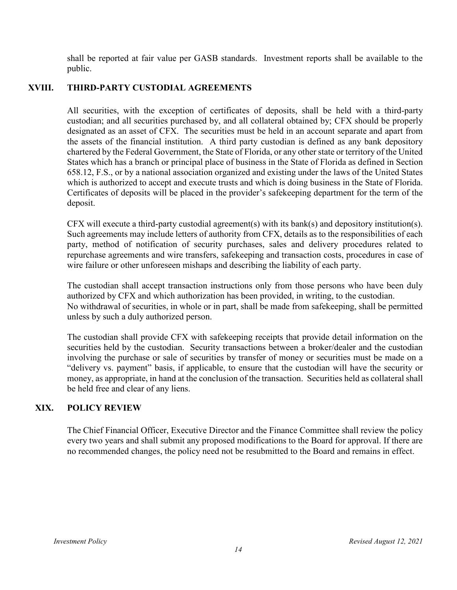<span id="page-13-0"></span>shall be reported at fair value per GASB standards. Investment reports shall be available to the public.

## **XVIII. THIRD-PARTY CUSTODIAL AGREEMENTS**

All securities, with the exception of certificates of deposits, shall be held with a third-party custodian; and all securities purchased by, and all collateral obtained by; CFX should be properly designated as an asset of CFX. The securities must be held in an account separate and apart from the assets of the financial institution. A third party custodian is defined as any bank depository chartered by the Federal Government, the State of Florida, or any other state or territory of the United States which has a branch or principal place of business in the State of Florida as defined in Section 658.12, F.S., or by a national association organized and existing under the laws of the United States which is authorized to accept and execute trusts and which is doing business in the State of Florida. Certificates of deposits will be placed in the provider's safekeeping department for the term of the deposit.

CFX will execute a third-party custodial agreement(s) with its bank(s) and depository institution(s). Such agreements may include letters of authority from CFX, details as to the responsibilities of each party, method of notification of security purchases, sales and delivery procedures related to repurchase agreements and wire transfers, safekeeping and transaction costs, procedures in case of wire failure or other unforeseen mishaps and describing the liability of each party.

The custodian shall accept transaction instructions only from those persons who have been duly authorized by CFX and which authorization has been provided, in writing, to the custodian. No withdrawal of securities, in whole or in part, shall be made from safekeeping, shall be permitted unless by such a duly authorized person.

The custodian shall provide CFX with safekeeping receipts that provide detail information on the securities held by the custodian. Security transactions between a broker/dealer and the custodian involving the purchase or sale of securities by transfer of money or securities must be made on a "delivery vs. payment" basis, if applicable, to ensure that the custodian will have the security or money, as appropriate, in hand at the conclusion of the transaction. Securities held as collateral shall be held free and clear of any liens.

### <span id="page-13-1"></span>**XIX. POLICY REVIEW**

The Chief Financial Officer, Executive Director and the Finance Committee shall review the policy every two years and shall submit any proposed modifications to the Board for approval. If there are no recommended changes, the policy need not be resubmitted to the Board and remains in effect.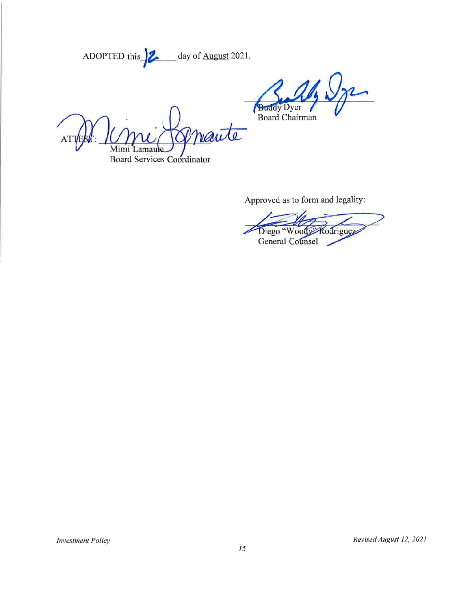ADOPTED this  $\frac{2}{\sqrt{2}}$  day of <u>August</u> 2021.

Dyer Board Chairman

naute Mimi **Board Services Coordinator** 

Approved as to form and legality:

General  $\overline{w}$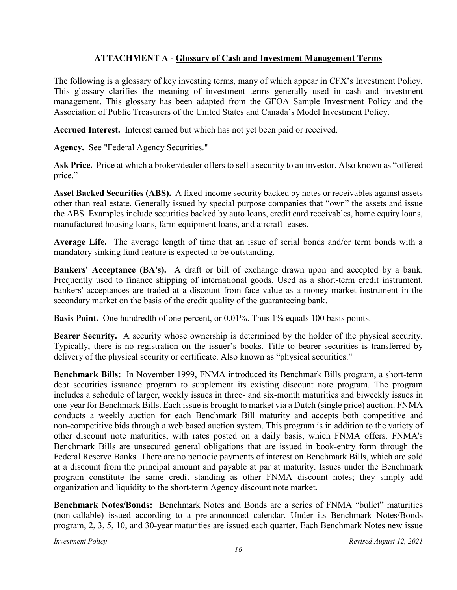## **ATTACHMENT A - Glossary of Cash and Investment Management Terms**

<span id="page-15-0"></span>The following is a glossary of key investing terms, many of which appear in CFX's Investment Policy. This glossary clarifies the meaning of investment terms generally used in cash and investment management. This glossary has been adapted from the GFOA Sample Investment Policy and the Association of Public Treasurers of the United States and Canada's Model Investment Policy.

**Accrued Interest.** Interest earned but which has not yet been paid or received.

Agency. See "Federal Agency Securities."

**Ask Price.** Price at which a broker/dealer offers to sell a security to an investor. Also known as "offered price."

**Asset Backed Securities (ABS).** A fixed-income security backed by notes or receivables against assets other than real estate. Generally issued by special purpose companies that "own" the assets and issue the ABS. Examples include securities backed by auto loans, credit card receivables, home equity loans, manufactured housing loans, farm equipment loans, and aircraft leases.

**Average Life.** The average length of time that an issue of serial bonds and/or term bonds with a mandatory sinking fund feature is expected to be outstanding.

**Bankers' Acceptance (BA's).** A draft or bill of exchange drawn upon and accepted by a bank. Frequently used to finance shipping of international goods. Used as a short-term credit instrument, bankers' acceptances are traded at a discount from face value as a money market instrument in the secondary market on the basis of the credit quality of the guaranteeing bank.

**Basis Point.** One hundredth of one percent, or 0.01%. Thus 1% equals 100 basis points.

**Bearer Security.** A security whose ownership is determined by the holder of the physical security. Typically, there is no registration on the issuer's books. Title to bearer securities is transferred by delivery of the physical security or certificate. Also known as "physical securities."

**Benchmark Bills:** In November 1999, FNMA introduced its Benchmark Bills program, a short-term debt securities issuance program to supplement its existing discount note program. The program includes a schedule of larger, weekly issues in three- and six-month maturities and biweekly issues in one-year for Benchmark Bills. Each issue is brought to market via a Dutch (single price) auction. FNMA conducts a weekly auction for each Benchmark Bill maturity and accepts both competitive and non-competitive bids through a web based auction system. This program is in addition to the variety of other discount note maturities, with rates posted on a daily basis, which FNMA offers. FNMA's Benchmark Bills are unsecured general obligations that are issued in book-entry form through the Federal Reserve Banks. There are no periodic payments of interest on Benchmark Bills, which are sold at a discount from the principal amount and payable at par at maturity. Issues under the Benchmark program constitute the same credit standing as other FNMA discount notes; they simply add organization and liquidity to the short-term Agency discount note market.

**Benchmark Notes/Bonds:** Benchmark Notes and Bonds are a series of FNMA "bullet" maturities (non-callable) issued according to a pre-announced calendar. Under its Benchmark Notes/Bonds program, 2, 3, 5, 10, and 30-year maturities are issued each quarter. Each Benchmark Notes new issue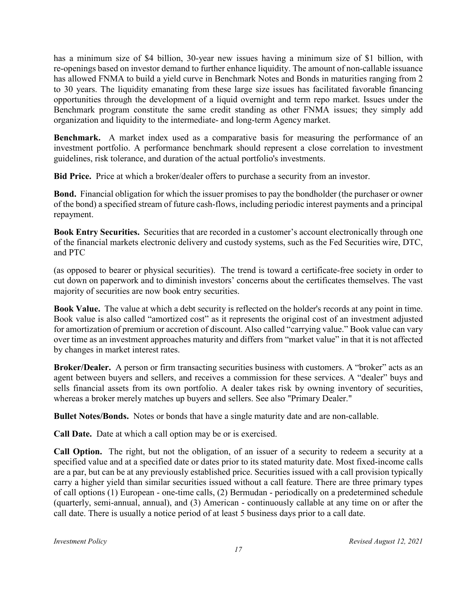has a minimum size of \$4 billion, 30-year new issues having a minimum size of \$1 billion, with re-openings based on investor demand to further enhance liquidity. The amount of non-callable issuance has allowed FNMA to build a yield curve in Benchmark Notes and Bonds in maturities ranging from 2 to 30 years. The liquidity emanating from these large size issues has facilitated favorable financing opportunities through the development of a liquid overnight and term repo market. Issues under the Benchmark program constitute the same credit standing as other FNMA issues; they simply add organization and liquidity to the intermediate- and long-term Agency market.

**Benchmark.** A market index used as a comparative basis for measuring the performance of an investment portfolio. A performance benchmark should represent a close correlation to investment guidelines, risk tolerance, and duration of the actual portfolio's investments.

**Bid Price.** Price at which a broker/dealer offers to purchase a security from an investor.

**Bond.** Financial obligation for which the issuer promises to pay the bondholder (the purchaser or owner of the bond) a specified stream of future cash-flows, including periodic interest payments and a principal repayment.

**Book Entry Securities.** Securities that are recorded in a customer's account electronically through one of the financial markets electronic delivery and custody systems, such as the Fed Securities wire, DTC, and PTC

(as opposed to bearer or physical securities). The trend is toward a certificate-free society in order to cut down on paperwork and to diminish investors' concerns about the certificates themselves. The vast majority of securities are now book entry securities.

**Book Value.** The value at which a debt security is reflected on the holder's records at any point in time. Book value is also called "amortized cost" as it represents the original cost of an investment adjusted for amortization of premium or accretion of discount. Also called "carrying value." Book value can vary over time as an investment approaches maturity and differs from "market value" in that it is not affected by changes in market interest rates.

**Broker/Dealer.** A person or firm transacting securities business with customers. A "broker" acts as an agent between buyers and sellers, and receives a commission for these services. A "dealer" buys and sells financial assets from its own portfolio. A dealer takes risk by owning inventory of securities, whereas a broker merely matches up buyers and sellers. See also "Primary Dealer."

**Bullet Notes/Bonds.** Notes or bonds that have a single maturity date and are non-callable.

**Call Date.** Date at which a call option may be or is exercised.

**Call Option.** The right, but not the obligation, of an issuer of a security to redeem a security at a specified value and at a specified date or dates prior to its stated maturity date. Most fixed-income calls are a par, but can be at any previously established price. Securities issued with a call provision typically carry a higher yield than similar securities issued without a call feature. There are three primary types of call options (1) European - one-time calls, (2) Bermudan - periodically on a predetermined schedule (quarterly, semi-annual, annual), and (3) American - continuously callable at any time on or after the call date. There is usually a notice period of at least 5 business days prior to a call date.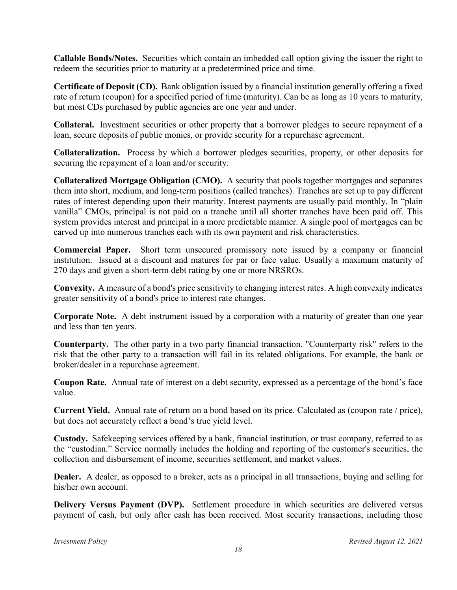**Callable Bonds/Notes.** Securities which contain an imbedded call option giving the issuer the right to redeem the securities prior to maturity at a predetermined price and time.

**Certificate of Deposit (CD).** Bank obligation issued by a financial institution generally offering a fixed rate of return (coupon) for a specified period of time (maturity). Can be as long as 10 years to maturity, but most CDs purchased by public agencies are one year and under.

**Collateral.** Investment securities or other property that a borrower pledges to secure repayment of a loan, secure deposits of public monies, or provide security for a repurchase agreement.

**Collateralization.** Process by which a borrower pledges securities, property, or other deposits for securing the repayment of a loan and/or security.

**Collateralized Mortgage Obligation (CMO).** A security that pools together mortgages and separates them into short, medium, and long-term positions (called tranches). Tranches are set up to pay different rates of interest depending upon their maturity. Interest payments are usually paid monthly. In "plain vanilla" CMOs, principal is not paid on a tranche until all shorter tranches have been paid off. This system provides interest and principal in a more predictable manner. A single pool of mortgages can be carved up into numerous tranches each with its own payment and risk characteristics.

**Commercial Paper.** Short term unsecured promissory note issued by a company or financial institution. Issued at a discount and matures for par or face value. Usually a maximum maturity of 270 days and given a short-term debt rating by one or more NRSROs.

**Convexity.** A measure of a bond's price sensitivity to changing interest rates. A high convexity indicates greater sensitivity of a bond's price to interest rate changes.

**Corporate Note.** A debt instrument issued by a corporation with a maturity of greater than one year and less than ten years.

**Counterparty.** The other party in a two party financial transaction. "Counterparty risk" refers to the risk that the other party to a transaction will fail in its related obligations. For example, the bank or broker/dealer in a repurchase agreement.

**Coupon Rate.** Annual rate of interest on a debt security, expressed as a percentage of the bond's face value.

**Current Yield.** Annual rate of return on a bond based on its price. Calculated as (coupon rate / price), but does not accurately reflect a bond's true yield level.

**Custody.** Safekeeping services offered by a bank, financial institution, or trust company, referred to as the "custodian." Service normally includes the holding and reporting of the customer's securities, the collection and disbursement of income, securities settlement, and market values.

**Dealer.** A dealer, as opposed to a broker, acts as a principal in all transactions, buying and selling for his/her own account.

**Delivery Versus Payment (DVP).** Settlement procedure in which securities are delivered versus payment of cash, but only after cash has been received. Most security transactions, including those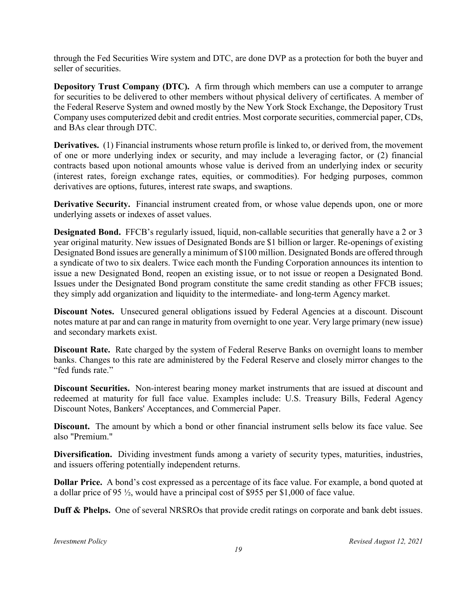through the Fed Securities Wire system and DTC, are done DVP as a protection for both the buyer and seller of securities.

**Depository Trust Company (DTC).** A firm through which members can use a computer to arrange for securities to be delivered to other members without physical delivery of certificates. A member of the Federal Reserve System and owned mostly by the New York Stock Exchange, the Depository Trust Company uses computerized debit and credit entries. Most corporate securities, commercial paper, CDs, and BAs clear through DTC.

**Derivatives.** (1) Financial instruments whose return profile is linked to, or derived from, the movement of one or more underlying index or security, and may include a leveraging factor, or (2) financial contracts based upon notional amounts whose value is derived from an underlying index or security (interest rates, foreign exchange rates, equities, or commodities). For hedging purposes, common derivatives are options, futures, interest rate swaps, and swaptions.

**Derivative Security.** Financial instrument created from, or whose value depends upon, one or more underlying assets or indexes of asset values.

**Designated Bond.** FFCB's regularly issued, liquid, non-callable securities that generally have a 2 or 3 year original maturity. New issues of Designated Bonds are \$1 billion or larger. Re-openings of existing Designated Bond issues are generally a minimum of \$100 million. Designated Bonds are offered through a syndicate of two to six dealers. Twice each month the Funding Corporation announces its intention to issue a new Designated Bond, reopen an existing issue, or to not issue or reopen a Designated Bond. Issues under the Designated Bond program constitute the same credit standing as other FFCB issues; they simply add organization and liquidity to the intermediate- and long-term Agency market.

**Discount Notes.** Unsecured general obligations issued by Federal Agencies at a discount. Discount notes mature at par and can range in maturity from overnight to one year. Very large primary (new issue) and secondary markets exist.

**Discount Rate.** Rate charged by the system of Federal Reserve Banks on overnight loans to member banks. Changes to this rate are administered by the Federal Reserve and closely mirror changes to the "fed funds rate."

**Discount Securities.** Non-interest bearing money market instruments that are issued at discount and redeemed at maturity for full face value. Examples include: U.S. Treasury Bills, Federal Agency Discount Notes, Bankers' Acceptances, and Commercial Paper.

**Discount.** The amount by which a bond or other financial instrument sells below its face value. See also "Premium."

**Diversification.** Dividing investment funds among a variety of security types, maturities, industries, and issuers offering potentially independent returns.

**Dollar Price.** A bond's cost expressed as a percentage of its face value. For example, a bond quoted at a dollar price of 95 ½, would have a principal cost of \$955 per \$1,000 of face value.

**Duff & Phelps.** One of several NRSROs that provide credit ratings on corporate and bank debt issues.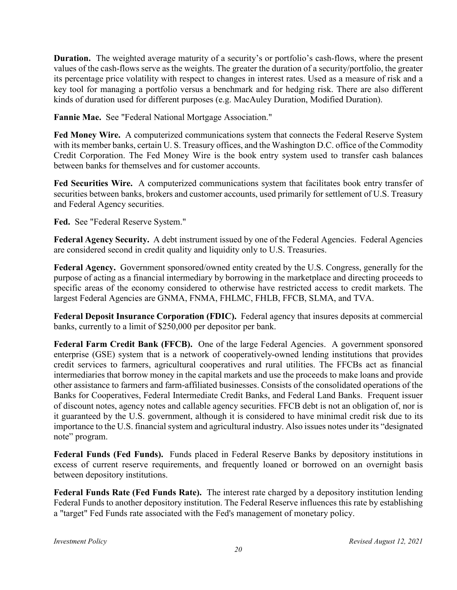**Duration.** The weighted average maturity of a security's or portfolio's cash-flows, where the present values of the cash-flows serve as the weights. The greater the duration of a security/portfolio, the greater its percentage price volatility with respect to changes in interest rates. Used as a measure of risk and a key tool for managing a portfolio versus a benchmark and for hedging risk. There are also different kinds of duration used for different purposes (e.g. MacAuley Duration, Modified Duration).

**Fannie Mae.** See "Federal National Mortgage Association."

**Fed Money Wire.** A computerized communications system that connects the Federal Reserve System with its member banks, certain U. S. Treasury offices, and the Washington D.C. office of the Commodity Credit Corporation. The Fed Money Wire is the book entry system used to transfer cash balances between banks for themselves and for customer accounts.

**Fed Securities Wire.** A computerized communications system that facilitates book entry transfer of securities between banks, brokers and customer accounts, used primarily for settlement of U.S. Treasury and Federal Agency securities.

**Fed.** See "Federal Reserve System."

**Federal Agency Security.** A debt instrument issued by one of the Federal Agencies. Federal Agencies are considered second in credit quality and liquidity only to U.S. Treasuries.

**Federal Agency.** Government sponsored/owned entity created by the U.S. Congress, generally for the purpose of acting as a financial intermediary by borrowing in the marketplace and directing proceeds to specific areas of the economy considered to otherwise have restricted access to credit markets. The largest Federal Agencies are GNMA, FNMA, FHLMC, FHLB, FFCB, SLMA, and TVA.

**Federal Deposit Insurance Corporation (FDIC).** Federal agency that insures deposits at commercial banks, currently to a limit of \$250,000 per depositor per bank.

**Federal Farm Credit Bank (FFCB).** One of the large Federal Agencies. A government sponsored enterprise (GSE) system that is a network of cooperatively-owned lending institutions that provides credit services to farmers, agricultural cooperatives and rural utilities. The FFCBs act as financial intermediaries that borrow money in the capital markets and use the proceeds to make loans and provide other assistance to farmers and farm-affiliated businesses. Consists of the consolidated operations of the Banks for Cooperatives, Federal Intermediate Credit Banks, and Federal Land Banks. Frequent issuer of discount notes, agency notes and callable agency securities. FFCB debt is not an obligation of, nor is it guaranteed by the U.S. government, although it is considered to have minimal credit risk due to its importance to the U.S. financial system and agricultural industry. Also issues notes under its "designated note" program.

**Federal Funds (Fed Funds).** Funds placed in Federal Reserve Banks by depository institutions in excess of current reserve requirements, and frequently loaned or borrowed on an overnight basis between depository institutions.

**Federal Funds Rate (Fed Funds Rate).** The interest rate charged by a depository institution lending Federal Funds to another depository institution. The Federal Reserve influences this rate by establishing a "target" Fed Funds rate associated with the Fed's management of monetary policy.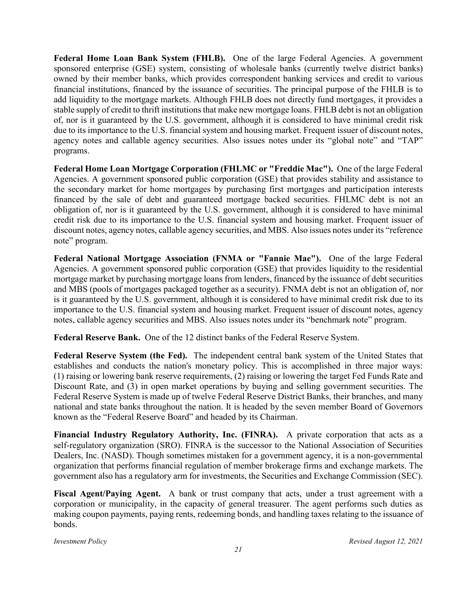Federal Home Loan Bank System (FHLB). One of the large Federal Agencies. A government sponsored enterprise (GSE) system, consisting of wholesale banks (currently twelve district banks) owned by their member banks, which provides correspondent banking services and credit to various financial institutions, financed by the issuance of securities. The principal purpose of the FHLB is to add liquidity to the mortgage markets. Although FHLB does not directly fund mortgages, it provides a stable supply of credit to thrift institutions that make new mortgage loans. FHLB debt is not an obligation of, nor is it guaranteed by the U.S. government, although it is considered to have minimal credit risk due to its importance to the U.S. financial system and housing market. Frequent issuer of discount notes, agency notes and callable agency securities. Also issues notes under its "global note" and "TAP" programs.

**Federal Home Loan Mortgage Corporation (FHLMC or "Freddie Mac").** One of the large Federal Agencies. A government sponsored public corporation (GSE) that provides stability and assistance to the secondary market for home mortgages by purchasing first mortgages and participation interests financed by the sale of debt and guaranteed mortgage backed securities. FHLMC debt is not an obligation of, nor is it guaranteed by the U.S. government, although it is considered to have minimal credit risk due to its importance to the U.S. financial system and housing market. Frequent issuer of discount notes, agency notes, callable agency securities, and MBS. Also issues notes under its "reference note" program.

**Federal National Mortgage Association (FNMA or "Fannie Mae").** One of the large Federal Agencies. A government sponsored public corporation (GSE) that provides liquidity to the residential mortgage market by purchasing mortgage loans from lenders, financed by the issuance of debt securities and MBS (pools of mortgages packaged together as a security). FNMA debt is not an obligation of, nor is it guaranteed by the U.S. government, although it is considered to have minimal credit risk due to its importance to the U.S. financial system and housing market. Frequent issuer of discount notes, agency notes, callable agency securities and MBS. Also issues notes under its "benchmark note" program.

**Federal Reserve Bank.** One of the 12 distinct banks of the Federal Reserve System.

**Federal Reserve System (the Fed).** The independent central bank system of the United States that establishes and conducts the nation's monetary policy. This is accomplished in three major ways: (1) raising or lowering bank reserve requirements, (2) raising or lowering the target Fed Funds Rate and Discount Rate, and (3) in open market operations by buying and selling government securities. The Federal Reserve System is made up of twelve Federal Reserve District Banks, their branches, and many national and state banks throughout the nation. It is headed by the seven member Board of Governors known as the "Federal Reserve Board" and headed by its Chairman.

**Financial Industry Regulatory Authority, Inc. (FINRA).** A private corporation that acts as a self-regulatory organization (SRO). FINRA is the successor to the National Association of Securities Dealers, Inc. (NASD). Though sometimes mistaken for a government agency, it is a non-governmental organization that performs financial regulation of member brokerage firms and exchange markets. The government also has a regulatory arm for investments, the Securities and Exchange Commission (SEC).

**Fiscal Agent/Paying Agent.** A bank or trust company that acts, under a trust agreement with a corporation or municipality, in the capacity of general treasurer. The agent performs such duties as making coupon payments, paying rents, redeeming bonds, and handling taxes relating to the issuance of bonds.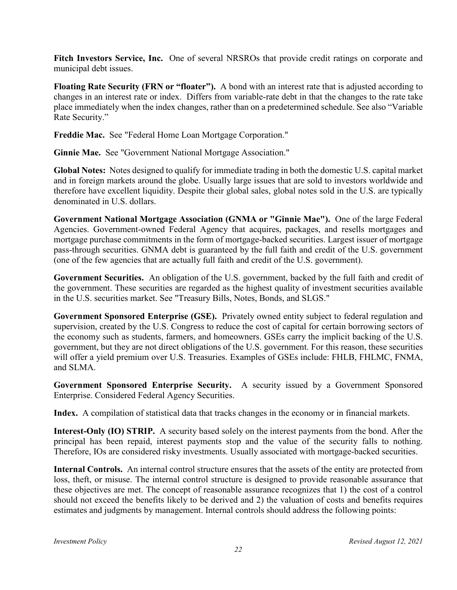**Fitch Investors Service, Inc.** One of several NRSROs that provide credit ratings on corporate and municipal debt issues.

**Floating Rate Security (FRN or "floater").** A bond with an interest rate that is adjusted according to changes in an interest rate or index. Differs from variable-rate debt in that the changes to the rate take place immediately when the index changes, rather than on a predetermined schedule. See also "Variable Rate Security."

**Freddie Mac.** See "Federal Home Loan Mortgage Corporation."

**Ginnie Mae.** See "Government National Mortgage Association."

**Global Notes:** Notes designed to qualify for immediate trading in both the domestic U.S. capital market and in foreign markets around the globe. Usually large issues that are sold to investors worldwide and therefore have excellent liquidity. Despite their global sales, global notes sold in the U.S. are typically denominated in U.S. dollars.

**Government National Mortgage Association (GNMA or "Ginnie Mae").** One of the large Federal Agencies. Government-owned Federal Agency that acquires, packages, and resells mortgages and mortgage purchase commitments in the form of mortgage-backed securities. Largest issuer of mortgage pass-through securities. GNMA debt is guaranteed by the full faith and credit of the U.S. government (one of the few agencies that are actually full faith and credit of the U.S. government).

**Government Securities.** An obligation of the U.S. government, backed by the full faith and credit of the government. These securities are regarded as the highest quality of investment securities available in the U.S. securities market. See "Treasury Bills, Notes, Bonds, and SLGS."

**Government Sponsored Enterprise (GSE).** Privately owned entity subject to federal regulation and supervision, created by the U.S. Congress to reduce the cost of capital for certain borrowing sectors of the economy such as students, farmers, and homeowners. GSEs carry the implicit backing of the U.S. government, but they are not direct obligations of the U.S. government. For this reason, these securities will offer a yield premium over U.S. Treasuries. Examples of GSEs include: FHLB, FHLMC, FNMA, and SLMA.

**Government Sponsored Enterprise Security.** A security issued by a Government Sponsored Enterprise. Considered Federal Agency Securities.

**Index.** A compilation of statistical data that tracks changes in the economy or in financial markets.

**Interest-Only (IO) STRIP.** A security based solely on the interest payments from the bond. After the principal has been repaid, interest payments stop and the value of the security falls to nothing. Therefore, IOs are considered risky investments. Usually associated with mortgage-backed securities.

**Internal Controls.** An internal control structure ensures that the assets of the entity are protected from loss, theft, or misuse. The internal control structure is designed to provide reasonable assurance that these objectives are met. The concept of reasonable assurance recognizes that 1) the cost of a control should not exceed the benefits likely to be derived and 2) the valuation of costs and benefits requires estimates and judgments by management. Internal controls should address the following points: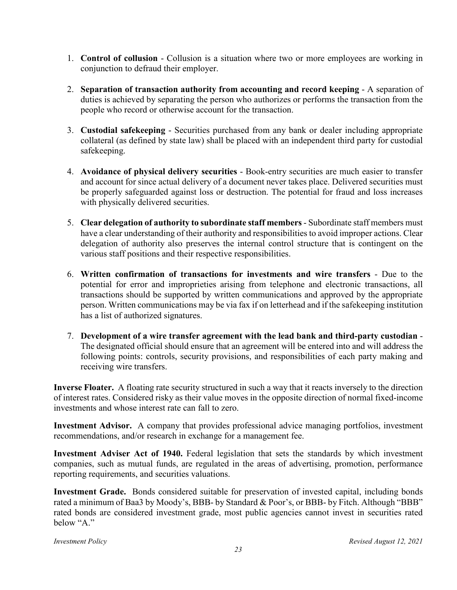- 1. **Control of collusion** Collusion is a situation where two or more employees are working in conjunction to defraud their employer.
- 2. **Separation of transaction authority from accounting and record keeping** A separation of duties is achieved by separating the person who authorizes or performs the transaction from the people who record or otherwise account for the transaction.
- 3. **Custodial safekeeping** Securities purchased from any bank or dealer including appropriate collateral (as defined by state law) shall be placed with an independent third party for custodial safekeeping.
- 4. **Avoidance of physical delivery securities** Book-entry securities are much easier to transfer and account for since actual delivery of a document never takes place. Delivered securities must be properly safeguarded against loss or destruction. The potential for fraud and loss increases with physically delivered securities.
- 5. **Clear delegation of authority to subordinate staff members** Subordinate staff members must have a clear understanding of their authority and responsibilities to avoid improper actions. Clear delegation of authority also preserves the internal control structure that is contingent on the various staff positions and their respective responsibilities.
- 6. **Written confirmation of transactions for investments and wire transfers** Due to the potential for error and improprieties arising from telephone and electronic transactions, all transactions should be supported by written communications and approved by the appropriate person. Written communications may be via fax if on letterhead and if the safekeeping institution has a list of authorized signatures.
- 7. **Development of a wire transfer agreement with the lead bank and third-party custodian** The designated official should ensure that an agreement will be entered into and will address the following points: controls, security provisions, and responsibilities of each party making and receiving wire transfers.

**Inverse Floater.** A floating rate security structured in such a way that it reacts inversely to the direction of interest rates. Considered risky as their value moves in the opposite direction of normal fixed-income investments and whose interest rate can fall to zero.

**Investment Advisor.** A company that provides professional advice managing portfolios, investment recommendations, and/or research in exchange for a management fee.

**Investment Adviser Act of 1940.** Federal legislation that sets the standards by which investment companies, such as mutual funds, are regulated in the areas of advertising, promotion, performance reporting requirements, and securities valuations.

**Investment Grade.** Bonds considered suitable for preservation of invested capital, including bonds rated a minimum of Baa3 by Moody's, BBB- by Standard & Poor's, or BBB- by Fitch. Although "BBB" rated bonds are considered investment grade, most public agencies cannot invest in securities rated below "A."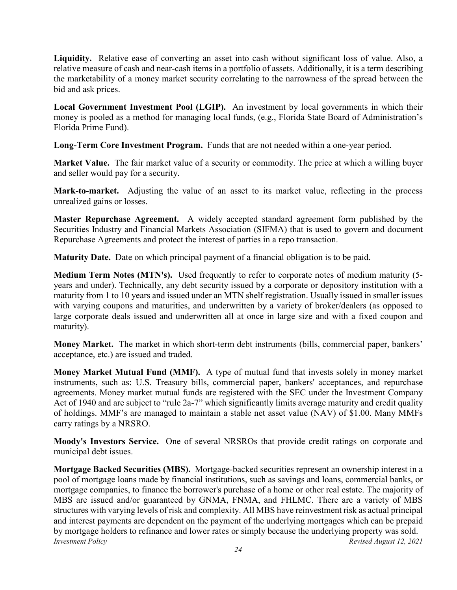**Liquidity.** Relative ease of converting an asset into cash without significant loss of value. Also, a relative measure of cash and near-cash items in a portfolio of assets. Additionally, it is a term describing the marketability of a money market security correlating to the narrowness of the spread between the bid and ask prices.

**Local Government Investment Pool (LGIP).** An investment by local governments in which their money is pooled as a method for managing local funds, (e.g., Florida State Board of Administration's Florida Prime Fund).

**Long-Term Core Investment Program.** Funds that are not needed within a one-year period.

**Market Value.** The fair market value of a security or commodity. The price at which a willing buyer and seller would pay for a security.

**Mark-to-market.** Adjusting the value of an asset to its market value, reflecting in the process unrealized gains or losses.

**Master Repurchase Agreement.** A widely accepted standard agreement form published by the Securities Industry and Financial Markets Association (SIFMA) that is used to govern and document Repurchase Agreements and protect the interest of parties in a repo transaction.

**Maturity Date.** Date on which principal payment of a financial obligation is to be paid.

**Medium Term Notes (MTN's).** Used frequently to refer to corporate notes of medium maturity (5 years and under). Technically, any debt security issued by a corporate or depository institution with a maturity from 1 to 10 years and issued under an MTN shelf registration. Usually issued in smaller issues with varying coupons and maturities, and underwritten by a variety of broker/dealers (as opposed to large corporate deals issued and underwritten all at once in large size and with a fixed coupon and maturity).

**Money Market.** The market in which short-term debt instruments (bills, commercial paper, bankers' acceptance, etc.) are issued and traded.

**Money Market Mutual Fund (MMF).** A type of mutual fund that invests solely in money market instruments, such as: U.S. Treasury bills, commercial paper, bankers' acceptances, and repurchase agreements. Money market mutual funds are registered with the SEC under the Investment Company Act of 1940 and are subject to "rule 2a-7" which significantly limits average maturity and credit quality of holdings. MMF's are managed to maintain a stable net asset value (NAV) of \$1.00. Many MMFs carry ratings by a NRSRO.

**Moody's Investors Service.** One of several NRSROs that provide credit ratings on corporate and municipal debt issues.

*Investment Policy Revised August 12, 2021* **Mortgage Backed Securities (MBS).** Mortgage-backed securities represent an ownership interest in a pool of mortgage loans made by financial institutions, such as savings and loans, commercial banks, or mortgage companies, to finance the borrower's purchase of a home or other real estate. The majority of MBS are issued and/or guaranteed by GNMA, FNMA, and FHLMC. There are a variety of MBS structures with varying levels of risk and complexity. All MBS have reinvestment risk as actual principal and interest payments are dependent on the payment of the underlying mortgages which can be prepaid by mortgage holders to refinance and lower rates or simply because the underlying property was sold.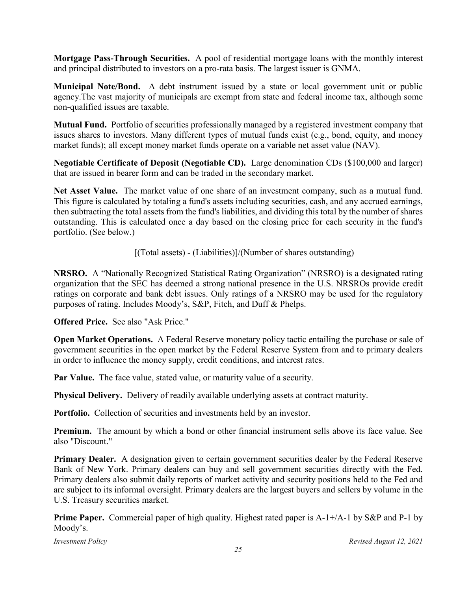**Mortgage Pass-Through Securities.** A pool of residential mortgage loans with the monthly interest and principal distributed to investors on a pro-rata basis. The largest issuer is GNMA.

**Municipal Note/Bond.** A debt instrument issued by a state or local government unit or public agency.The vast majority of municipals are exempt from state and federal income tax, although some non-qualified issues are taxable.

**Mutual Fund.** Portfolio of securities professionally managed by a registered investment company that issues shares to investors. Many different types of mutual funds exist (e.g., bond, equity, and money market funds); all except money market funds operate on a variable net asset value (NAV).

**Negotiable Certificate of Deposit (Negotiable CD).** Large denomination CDs (\$100,000 and larger) that are issued in bearer form and can be traded in the secondary market.

**Net Asset Value.** The market value of one share of an investment company, such as a mutual fund. This figure is calculated by totaling a fund's assets including securities, cash, and any accrued earnings, then subtracting the total assets from the fund's liabilities, and dividing this total by the number of shares outstanding. This is calculated once a day based on the closing price for each security in the fund's portfolio. (See below.)

[(Total assets) - (Liabilities)]/(Number of shares outstanding)

**NRSRO.** A "Nationally Recognized Statistical Rating Organization" (NRSRO) is a designated rating organization that the SEC has deemed a strong national presence in the U.S. NRSROs provide credit ratings on corporate and bank debt issues. Only ratings of a NRSRO may be used for the regulatory purposes of rating. Includes Moody's, S&P, Fitch, and Duff & Phelps.

**Offered Price.** See also "Ask Price."

**Open Market Operations.** A Federal Reserve monetary policy tactic entailing the purchase or sale of government securities in the open market by the Federal Reserve System from and to primary dealers in order to influence the money supply, credit conditions, and interest rates.

**Par Value.** The face value, stated value, or maturity value of a security.

**Physical Delivery.** Delivery of readily available underlying assets at contract maturity.

Portfolio. Collection of securities and investments held by an investor.

**Premium.** The amount by which a bond or other financial instrument sells above its face value. See also "Discount."

**Primary Dealer.** A designation given to certain government securities dealer by the Federal Reserve Bank of New York. Primary dealers can buy and sell government securities directly with the Fed. Primary dealers also submit daily reports of market activity and security positions held to the Fed and are subject to its informal oversight. Primary dealers are the largest buyers and sellers by volume in the U.S. Treasury securities market.

**Prime Paper.** Commercial paper of high quality. Highest rated paper is A-1+/A-1 by S&P and P-1 by Moody's.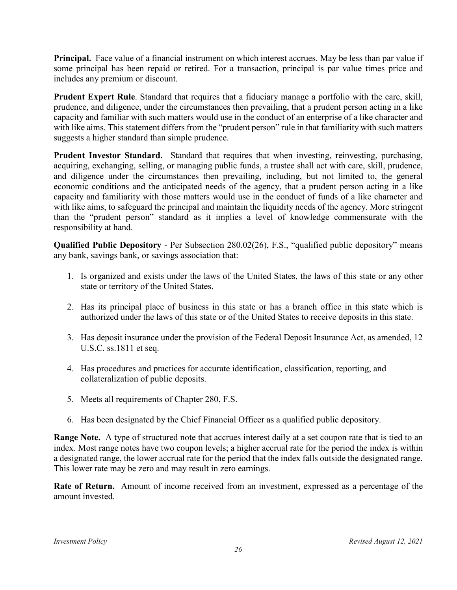**Principal.** Face value of a financial instrument on which interest accrues. May be less than par value if some principal has been repaid or retired. For a transaction, principal is par value times price and includes any premium or discount.

**Prudent Expert Rule**. Standard that requires that a fiduciary manage a portfolio with the care, skill, prudence, and diligence, under the circumstances then prevailing, that a prudent person acting in a like capacity and familiar with such matters would use in the conduct of an enterprise of a like character and with like aims. This statement differs from the "prudent person" rule in that familiarity with such matters suggests a higher standard than simple prudence.

**Prudent Investor Standard.** Standard that requires that when investing, reinvesting, purchasing, acquiring, exchanging, selling, or managing public funds, a trustee shall act with care, skill, prudence, and diligence under the circumstances then prevailing, including, but not limited to, the general economic conditions and the anticipated needs of the agency, that a prudent person acting in a like capacity and familiarity with those matters would use in the conduct of funds of a like character and with like aims, to safeguard the principal and maintain the liquidity needs of the agency. More stringent than the "prudent person" standard as it implies a level of knowledge commensurate with the responsibility at hand.

**Qualified Public Depository** - Per Subsection 280.02(26), F.S., "qualified public depository" means any bank, savings bank, or savings association that:

- 1. Is organized and exists under the laws of the United States, the laws of this state or any other state or territory of the United States.
- 2. Has its principal place of business in this state or has a branch office in this state which is authorized under the laws of this state or of the United States to receive deposits in this state.
- 3. Has deposit insurance under the provision of the Federal Deposit Insurance Act, as amended, 12 U.S.C. ss.1811 et seq.
- 4. Has procedures and practices for accurate identification, classification, reporting, and collateralization of public deposits.
- 5. Meets all requirements of Chapter 280, F.S.
- 6. Has been designated by the Chief Financial Officer as a qualified public depository.

**Range Note.** A type of structured note that accrues interest daily at a set coupon rate that is tied to an index. Most range notes have two coupon levels; a higher accrual rate for the period the index is within a designated range, the lower accrual rate for the period that the index falls outside the designated range. This lower rate may be zero and may result in zero earnings.

**Rate of Return.** Amount of income received from an investment, expressed as a percentage of the amount invested.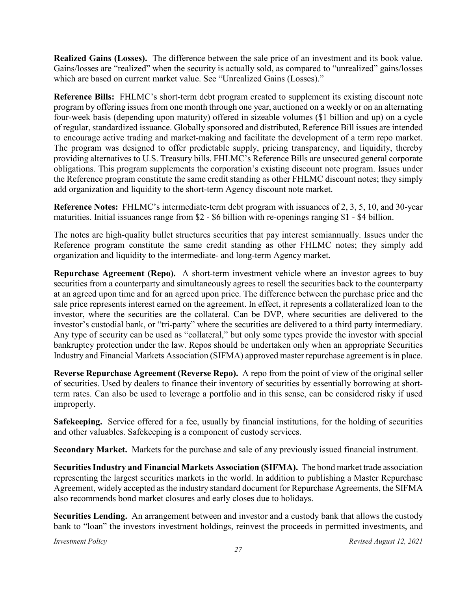**Realized Gains (Losses).** The difference between the sale price of an investment and its book value. Gains/losses are "realized" when the security is actually sold, as compared to "unrealized" gains/losses which are based on current market value. See "Unrealized Gains (Losses)."

**Reference Bills:** FHLMC's short-term debt program created to supplement its existing discount note program by offering issues from one month through one year, auctioned on a weekly or on an alternating four-week basis (depending upon maturity) offered in sizeable volumes (\$1 billion and up) on a cycle of regular, standardized issuance. Globally sponsored and distributed, Reference Bill issues are intended to encourage active trading and market-making and facilitate the development of a term repo market. The program was designed to offer predictable supply, pricing transparency, and liquidity, thereby providing alternatives to U.S. Treasury bills. FHLMC's Reference Bills are unsecured general corporate obligations. This program supplements the corporation's existing discount note program. Issues under the Reference program constitute the same credit standing as other FHLMC discount notes; they simply add organization and liquidity to the short-term Agency discount note market.

**Reference Notes:** FHLMC's intermediate-term debt program with issuances of 2, 3, 5, 10, and 30-year maturities. Initial issuances range from \$2 - \$6 billion with re-openings ranging \$1 - \$4 billion.

The notes are high-quality bullet structures securities that pay interest semiannually. Issues under the Reference program constitute the same credit standing as other FHLMC notes; they simply add organization and liquidity to the intermediate- and long-term Agency market.

**Repurchase Agreement (Repo).** A short-term investment vehicle where an investor agrees to buy securities from a counterparty and simultaneously agrees to resell the securities back to the counterparty at an agreed upon time and for an agreed upon price. The difference between the purchase price and the sale price represents interest earned on the agreement. In effect, it represents a collateralized loan to the investor, where the securities are the collateral. Can be DVP, where securities are delivered to the investor's custodial bank, or "tri-party" where the securities are delivered to a third party intermediary. Any type of security can be used as "collateral," but only some types provide the investor with special bankruptcy protection under the law. Repos should be undertaken only when an appropriate Securities Industry and Financial Markets Association (SIFMA) approved master repurchase agreement is in place.

**Reverse Repurchase Agreement (Reverse Repo).** A repo from the point of view of the original seller of securities. Used by dealers to finance their inventory of securities by essentially borrowing at shortterm rates. Can also be used to leverage a portfolio and in this sense, can be considered risky if used improperly.

**Safekeeping.** Service offered for a fee, usually by financial institutions, for the holding of securities and other valuables. Safekeeping is a component of custody services.

**Secondary Market.** Markets for the purchase and sale of any previously issued financial instrument.

**Securities Industry and Financial Markets Association (SIFMA).** The bond market trade association representing the largest securities markets in the world. In addition to publishing a Master Repurchase Agreement, widely accepted as the industry standard document for Repurchase Agreements, the SIFMA also recommends bond market closures and early closes due to holidays.

**Securities Lending.** An arrangement between and investor and a custody bank that allows the custody bank to "loan" the investors investment holdings, reinvest the proceeds in permitted investments, and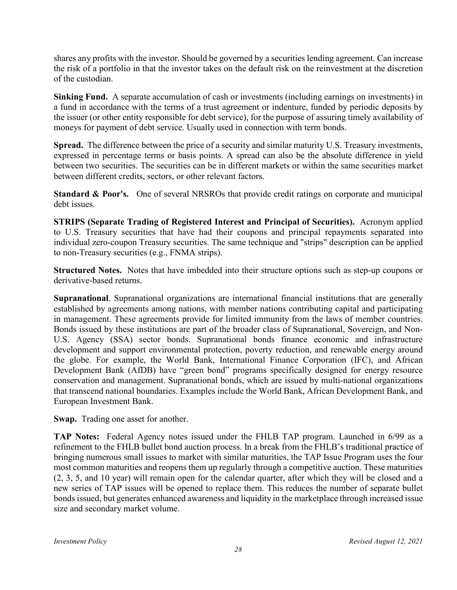shares any profits with the investor. Should be governed by a securities lending agreement. Can increase the risk of a portfolio in that the investor takes on the default risk on the reinvestment at the discretion of the custodian.

**Sinking Fund.** A separate accumulation of cash or investments (including earnings on investments) in a fund in accordance with the terms of a trust agreement or indenture, funded by periodic deposits by the issuer (or other entity responsible for debt service), for the purpose of assuring timely availability of moneys for payment of debt service. Usually used in connection with term bonds.

**Spread.** The difference between the price of a security and similar maturity U.S. Treasury investments, expressed in percentage terms or basis points. A spread can also be the absolute difference in yield between two securities. The securities can be in different markets or within the same securities market between different credits, sectors, or other relevant factors.

**Standard & Poor's.** One of several NRSROs that provide credit ratings on corporate and municipal debt issues.

**STRIPS (Separate Trading of Registered Interest and Principal of Securities).** Acronym applied to U.S. Treasury securities that have had their coupons and principal repayments separated into individual zero-coupon Treasury securities. The same technique and "strips" description can be applied to non-Treasury securities (e.g., FNMA strips).

**Structured Notes.** Notes that have imbedded into their structure options such as step-up coupons or derivative-based returns.

**Supranational**. Supranational organizations are international financial institutions that are generally established by agreements among nations, with member nations contributing capital and participating in management. These agreements provide for limited immunity from the laws of member countries. Bonds issued by these institutions are part of the broader class of Supranational, Sovereign, and Non-U.S. Agency (SSA) sector bonds. Supranational bonds finance economic and infrastructure development and support environmental protection, poverty reduction, and renewable energy around the globe. For example, the World Bank, International Finance Corporation (IFC), and African Development Bank (AfDB) have "green bond" programs specifically designed for energy resource conservation and management. Supranational bonds, which are issued by multi-national organizations that transcend national boundaries. Examples include the World Bank, African Development Bank, and European Investment Bank.

**Swap.** Trading one asset for another.

**TAP Notes:** Federal Agency notes issued under the FHLB TAP program. Launched in 6/99 as a refinement to the FHLB bullet bond auction process. In a break from the FHLB's traditional practice of bringing numerous small issues to market with similar maturities, the TAP Issue Program uses the four most common maturities and reopens them up regularly through a competitive auction. These maturities (2, 3, 5, and 10 year) will remain open for the calendar quarter, after which they will be closed and a new series of TAP issues will be opened to replace them. This reduces the number of separate bullet bonds issued, but generates enhanced awareness and liquidity in the marketplace through increased issue size and secondary market volume.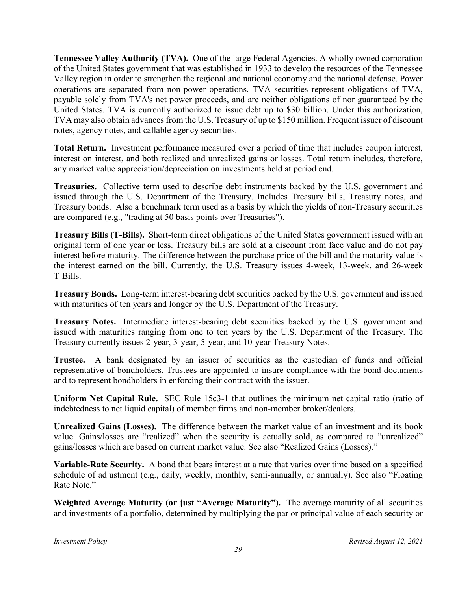**Tennessee Valley Authority (TVA).** One of the large Federal Agencies. A wholly owned corporation of the United States government that was established in 1933 to develop the resources of the Tennessee Valley region in order to strengthen the regional and national economy and the national defense. Power operations are separated from non-power operations. TVA securities represent obligations of TVA, payable solely from TVA's net power proceeds, and are neither obligations of nor guaranteed by the United States. TVA is currently authorized to issue debt up to \$30 billion. Under this authorization, TVA may also obtain advances from the U.S. Treasury of up to \$150 million. Frequent issuer of discount notes, agency notes, and callable agency securities.

**Total Return.** Investment performance measured over a period of time that includes coupon interest, interest on interest, and both realized and unrealized gains or losses. Total return includes, therefore, any market value appreciation/depreciation on investments held at period end.

**Treasuries.** Collective term used to describe debt instruments backed by the U.S. government and issued through the U.S. Department of the Treasury. Includes Treasury bills, Treasury notes, and Treasury bonds. Also a benchmark term used as a basis by which the yields of non-Treasury securities are compared (e.g., "trading at 50 basis points over Treasuries").

**Treasury Bills (T-Bills).** Short-term direct obligations of the United States government issued with an original term of one year or less. Treasury bills are sold at a discount from face value and do not pay interest before maturity. The difference between the purchase price of the bill and the maturity value is the interest earned on the bill. Currently, the U.S. Treasury issues 4-week, 13-week, and 26-week T-Bills.

**Treasury Bonds.** Long-term interest-bearing debt securities backed by the U.S. government and issued with maturities of ten years and longer by the U.S. Department of the Treasury.

**Treasury Notes.** Intermediate interest-bearing debt securities backed by the U.S. government and issued with maturities ranging from one to ten years by the U.S. Department of the Treasury. The Treasury currently issues 2-year, 3-year, 5-year, and 10-year Treasury Notes.

**Trustee.** A bank designated by an issuer of securities as the custodian of funds and official representative of bondholders. Trustees are appointed to insure compliance with the bond documents and to represent bondholders in enforcing their contract with the issuer.

**Uniform Net Capital Rule.** SEC Rule 15c3-1 that outlines the minimum net capital ratio (ratio of indebtedness to net liquid capital) of member firms and non-member broker/dealers.

**Unrealized Gains (Losses).** The difference between the market value of an investment and its book value. Gains/losses are "realized" when the security is actually sold, as compared to "unrealized" gains/losses which are based on current market value. See also "Realized Gains (Losses)."

**Variable-Rate Security.** A bond that bears interest at a rate that varies over time based on a specified schedule of adjustment (e.g., daily, weekly, monthly, semi-annually, or annually). See also "Floating Rate Note."

**Weighted Average Maturity (or just "Average Maturity").** The average maturity of all securities and investments of a portfolio, determined by multiplying the par or principal value of each security or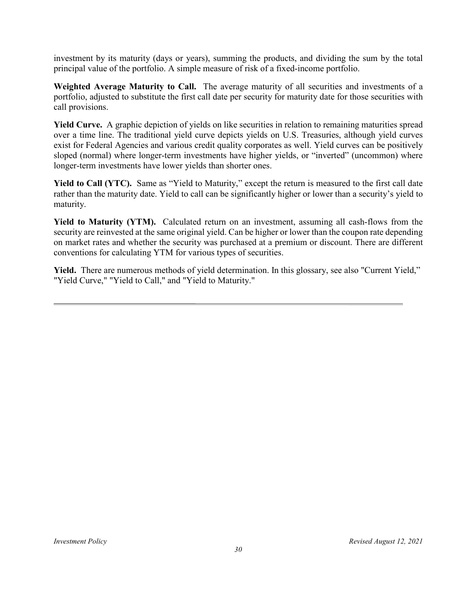investment by its maturity (days or years), summing the products, and dividing the sum by the total principal value of the portfolio. A simple measure of risk of a fixed-income portfolio.

**Weighted Average Maturity to Call.** The average maturity of all securities and investments of a portfolio, adjusted to substitute the first call date per security for maturity date for those securities with call provisions.

**Yield Curve.** A graphic depiction of yields on like securities in relation to remaining maturities spread over a time line. The traditional yield curve depicts yields on U.S. Treasuries, although yield curves exist for Federal Agencies and various credit quality corporates as well. Yield curves can be positively sloped (normal) where longer-term investments have higher yields, or "inverted" (uncommon) where longer-term investments have lower yields than shorter ones.

**Yield to Call (YTC).** Same as "Yield to Maturity," except the return is measured to the first call date rather than the maturity date. Yield to call can be significantly higher or lower than a security's yield to maturity.

**Yield to Maturity (YTM).** Calculated return on an investment, assuming all cash-flows from the security are reinvested at the same original yield. Can be higher or lower than the coupon rate depending on market rates and whether the security was purchased at a premium or discount. There are different conventions for calculating YTM for various types of securities.

**Yield.** There are numerous methods of yield determination. In this glossary, see also "Current Yield," "Yield Curve," "Yield to Call," and "Yield to Maturity."